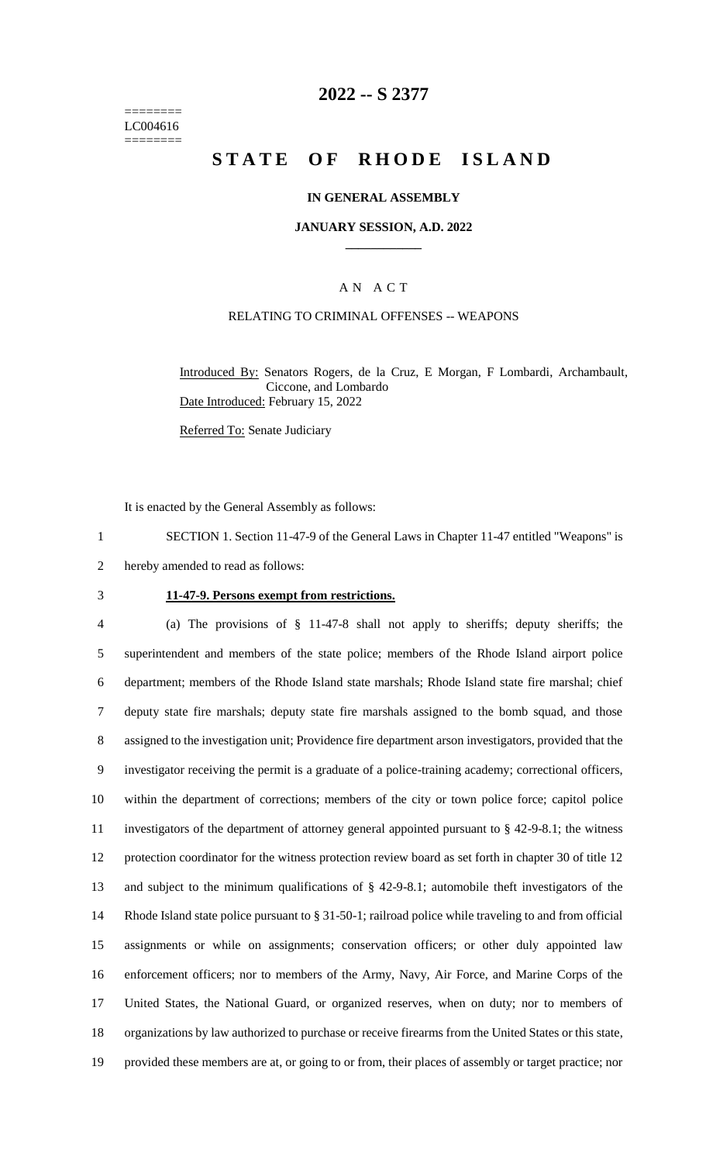======== LC004616 ========

### **2022 -- S 2377**

# **STATE OF RHODE ISLAND**

### **IN GENERAL ASSEMBLY**

#### **JANUARY SESSION, A.D. 2022 \_\_\_\_\_\_\_\_\_\_\_\_**

### A N A C T

### RELATING TO CRIMINAL OFFENSES -- WEAPONS

Introduced By: Senators Rogers, de la Cruz, E Morgan, F Lombardi, Archambault, Ciccone, and Lombardo Date Introduced: February 15, 2022

Referred To: Senate Judiciary

It is enacted by the General Assembly as follows:

1 SECTION 1. Section 11-47-9 of the General Laws in Chapter 11-47 entitled "Weapons" is

2 hereby amended to read as follows:

#### 3 **11-47-9. Persons exempt from restrictions.**

 (a) The provisions of § 11-47-8 shall not apply to sheriffs; deputy sheriffs; the superintendent and members of the state police; members of the Rhode Island airport police department; members of the Rhode Island state marshals; Rhode Island state fire marshal; chief deputy state fire marshals; deputy state fire marshals assigned to the bomb squad, and those assigned to the investigation unit; Providence fire department arson investigators, provided that the investigator receiving the permit is a graduate of a police-training academy; correctional officers, within the department of corrections; members of the city or town police force; capitol police investigators of the department of attorney general appointed pursuant to § 42-9-8.1; the witness protection coordinator for the witness protection review board as set forth in chapter 30 of title 12 and subject to the minimum qualifications of § 42-9-8.1; automobile theft investigators of the Rhode Island state police pursuant to § 31-50-1; railroad police while traveling to and from official assignments or while on assignments; conservation officers; or other duly appointed law enforcement officers; nor to members of the Army, Navy, Air Force, and Marine Corps of the United States, the National Guard, or organized reserves, when on duty; nor to members of organizations by law authorized to purchase or receive firearms from the United States or this state, provided these members are at, or going to or from, their places of assembly or target practice; nor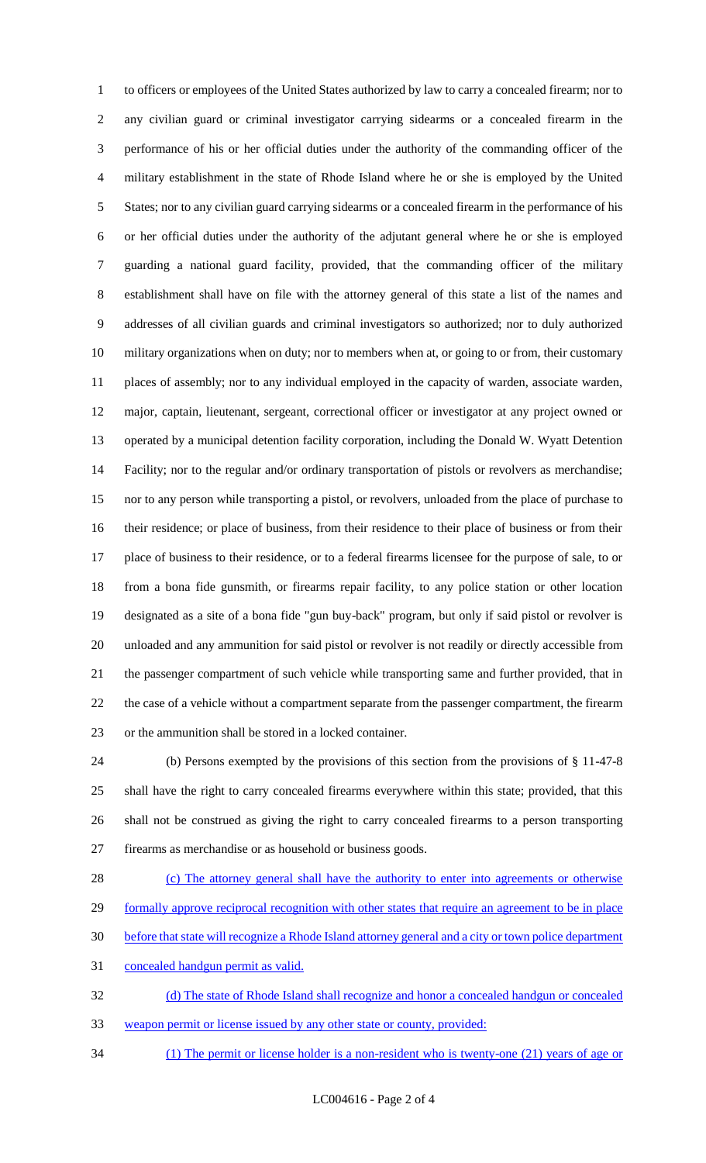to officers or employees of the United States authorized by law to carry a concealed firearm; nor to any civilian guard or criminal investigator carrying sidearms or a concealed firearm in the performance of his or her official duties under the authority of the commanding officer of the military establishment in the state of Rhode Island where he or she is employed by the United States; nor to any civilian guard carrying sidearms or a concealed firearm in the performance of his or her official duties under the authority of the adjutant general where he or she is employed guarding a national guard facility, provided, that the commanding officer of the military establishment shall have on file with the attorney general of this state a list of the names and addresses of all civilian guards and criminal investigators so authorized; nor to duly authorized military organizations when on duty; nor to members when at, or going to or from, their customary places of assembly; nor to any individual employed in the capacity of warden, associate warden, major, captain, lieutenant, sergeant, correctional officer or investigator at any project owned or operated by a municipal detention facility corporation, including the Donald W. Wyatt Detention Facility; nor to the regular and/or ordinary transportation of pistols or revolvers as merchandise; nor to any person while transporting a pistol, or revolvers, unloaded from the place of purchase to their residence; or place of business, from their residence to their place of business or from their place of business to their residence, or to a federal firearms licensee for the purpose of sale, to or from a bona fide gunsmith, or firearms repair facility, to any police station or other location designated as a site of a bona fide "gun buy-back" program, but only if said pistol or revolver is unloaded and any ammunition for said pistol or revolver is not readily or directly accessible from the passenger compartment of such vehicle while transporting same and further provided, that in 22 the case of a vehicle without a compartment separate from the passenger compartment, the firearm or the ammunition shall be stored in a locked container.

 (b) Persons exempted by the provisions of this section from the provisions of § 11-47-8 shall have the right to carry concealed firearms everywhere within this state; provided, that this shall not be construed as giving the right to carry concealed firearms to a person transporting firearms as merchandise or as household or business goods.

28 (c) The attorney general shall have the authority to enter into agreements or otherwise 29 formally approve reciprocal recognition with other states that require an agreement to be in place before that state will recognize a Rhode Island attorney general and a city or town police department concealed handgun permit as valid. (d) The state of Rhode Island shall recognize and honor a concealed handgun or concealed

weapon permit or license issued by any other state or county, provided:

(1) The permit or license holder is a non-resident who is twenty-one (21) years of age or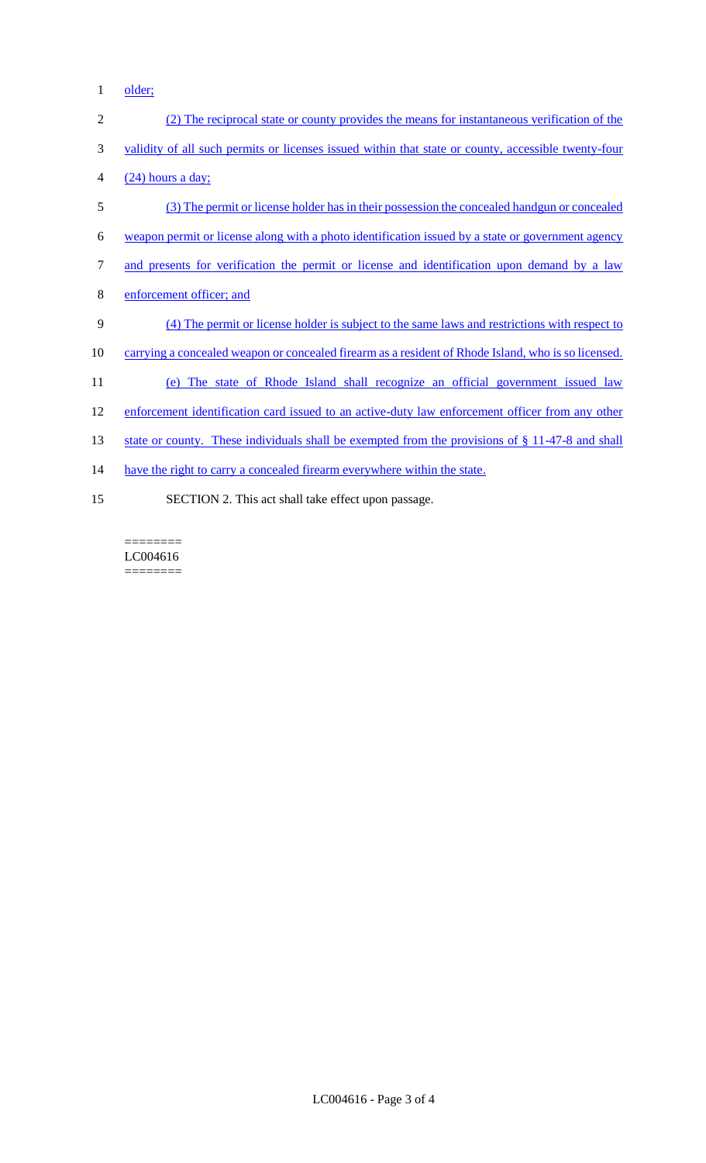1 older;

| $\overline{2}$ | (2) The reciprocal state or county provides the means for instantaneous verification of the         |
|----------------|-----------------------------------------------------------------------------------------------------|
| 3              | validity of all such permits or licenses issued within that state or county, accessible twenty-four |
| 4              | $(24)$ hours a day;                                                                                 |
| 5              | (3) The permit or license holder has in their possession the concealed handgun or concealed         |
| 6              | weapon permit or license along with a photo identification issued by a state or government agency   |
| 7              | and presents for verification the permit or license and identification upon demand by a law         |
| 8              | enforcement officer; and                                                                            |
| 9              | (4) The permit or license holder is subject to the same laws and restrictions with respect to       |
| 10             | carrying a concealed weapon or concealed firearm as a resident of Rhode Island, who is so licensed. |
| 11             | (e) The state of Rhode Island shall recognize an official government issued law                     |
| 12             | enforcement identification card issued to an active-duty law enforcement officer from any other     |
| 13             | state or county. These individuals shall be exempted from the provisions of $\S 11-47-8$ and shall  |
| 14             | have the right to carry a concealed firearm everywhere within the state.                            |
| 15             | SECTION 2. This act shall take effect upon passage.                                                 |

 $=$ LC004616  $\begin{minipage}{0.9\linewidth} \begin{tabular}{l} \hline \textbf{m} & \textbf{m} \\ \hline \textbf{m} & \textbf{m} \\ \hline \textbf{m} & \textbf{m} \\ \hline \textbf{m} & \textbf{m} \\ \hline \textbf{m} & \textbf{m} \\ \hline \textbf{m} & \textbf{m} \\ \hline \textbf{m} & \textbf{m} \\ \hline \textbf{m} & \textbf{m} \\ \hline \textbf{m} & \textbf{m} \\ \hline \textbf{m} & \textbf{m} \\ \hline \textbf{m} & \textbf{m} \\ \hline \textbf{m} & \text$